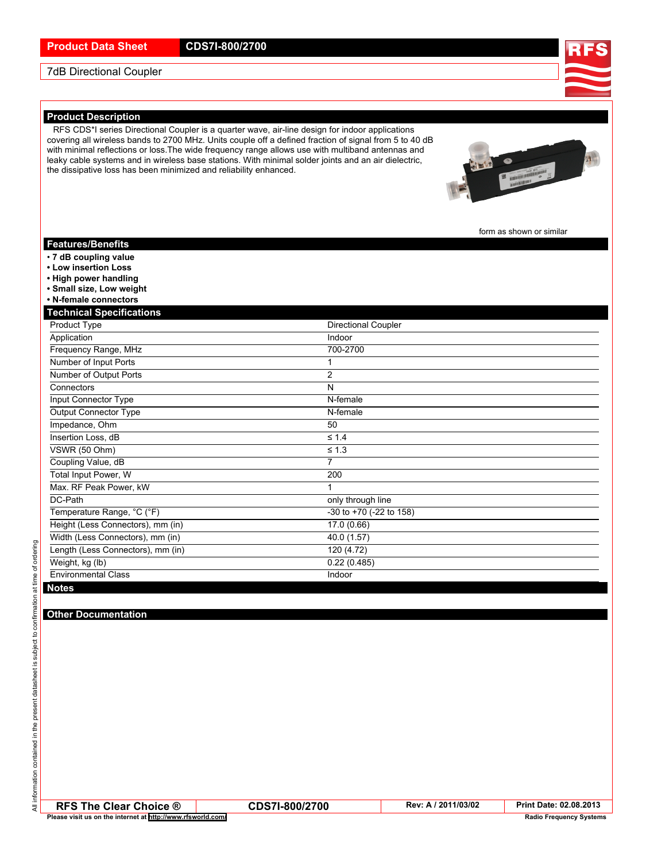## 7dB Directional Coupler

### **Product Description**

RFS CDS\*I series Directional Coupler is <sup>a</sup> quarter wave, air-line design for indoor applications covering all wireless bands to 2700 MHz. Units couple off <sup>a</sup> defined fraction of signal from 5 to 40 dB with minimal reflections or loss.The wide frequency range allows use with multiband antennas and leaky cable systems and in wireless base stations. With minimal solder joints and an air dielectric, the dissipative loss has been minimized and reliability enhanced.

form as shown or similar

### **Features/Benefits**

- **7 dB coupling value**
- **• Low insertion Loss**
- **• High power handling**
- **• Small size, Low weight**
- **• N-female connectors**

#### **Technical Specifications**

| Product Type                      | <b>Directional Coupler</b> |  |
|-----------------------------------|----------------------------|--|
| Application                       | Indoor                     |  |
| Frequency Range, MHz              | 700-2700                   |  |
| Number of Input Ports             |                            |  |
| Number of Output Ports            | $\overline{2}$             |  |
| Connectors                        | N                          |  |
| Input Connector Type              | N-female                   |  |
| <b>Output Connector Type</b>      | N-female                   |  |
| Impedance, Ohm                    | 50                         |  |
| Insertion Loss, dB                | $\leq 1.4$                 |  |
| VSWR (50 Ohm)                     | $\leq 1.3$                 |  |
| Coupling Value, dB                | 7                          |  |
| Total Input Power, W              | 200                        |  |
| Max. RF Peak Power, kW            |                            |  |
| DC-Path                           | only through line          |  |
| Temperature Range, °C (°F)        | -30 to +70 (-22 to 158)    |  |
| Height (Less Connectors), mm (in) | 17.0(0.66)                 |  |
| Width (Less Connectors), mm (in)  | 40.0 (1.57)                |  |
| Length (Less Connectors), mm (in) | 120 (4.72)                 |  |
| Weight, kg (lb)                   | 0.22(0.485)                |  |
| <b>Environmental Class</b>        | Indoor                     |  |
| <b>Notes</b>                      |                            |  |

**RFS The Clear Choice ® CDS7I-800/2700 Rev: <sup>A</sup> / 2011/03/02 Print Date: 02.08.2013 Please visit us on the internet at <http://www.rfsworld.com/> But a computer of the computer of the computer of the computer of the computer of the computer of the computer of the computer of the computer of the computer**